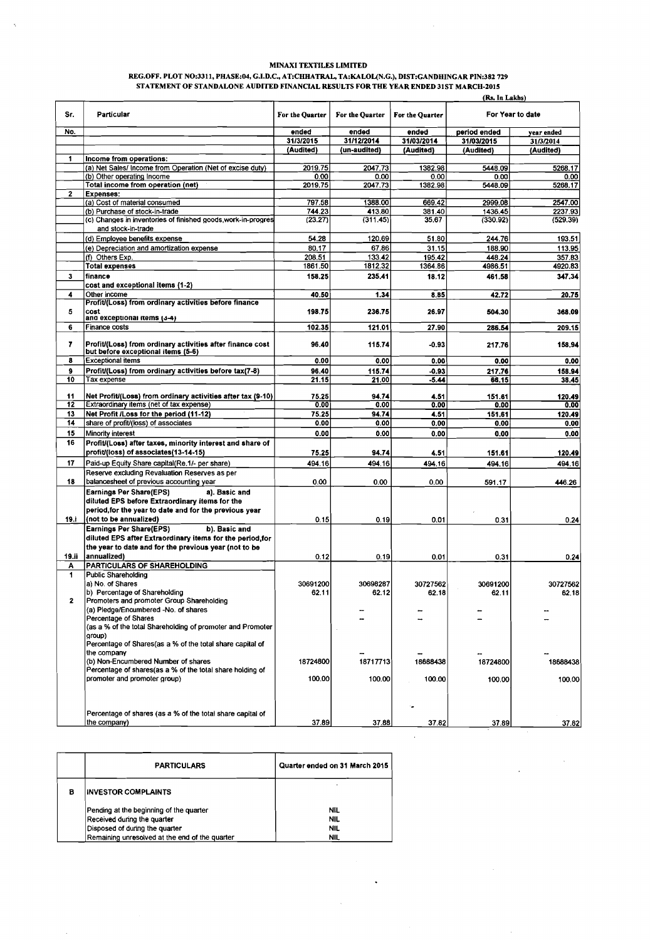## **MINAXI TEXTILES LIMITED**

 $\hat{\boldsymbol{\beta}}$ 

 $\sim 10^{-1}$ 

 $\sqrt{2}$ 

 $\hat{\mathcal{L}}$ 

 $\sim$ 

 $\ddot{\phantom{0}}$ 

 $\bar{\zeta}$ 

## **REGOFF. PLOT NO:3311, PHASE:04, G.I.D.C., AT:CHAATRAL, TA:KALOL(N.G.), D1ST:GANDHINGAR PIN:382 729 STATEMENT OF STANDALONE AUDITED FINANCIAL RESULTS FOR THE YEAR ENDED 31ST MARCH-2015**

|              |                                                                                                 |                   |                    |                 | (Rs. In Lakhs)      |                     |
|--------------|-------------------------------------------------------------------------------------------------|-------------------|--------------------|-----------------|---------------------|---------------------|
| Sr.          | Particular                                                                                      | For the Ouarter   | For the Quarter    | For the Quarter |                     | For Year to date    |
| No.          |                                                                                                 | ended             | ended              | ended           | period ended        | year ended          |
|              |                                                                                                 | 31/3/2015         | 31/12/2014         | 31/03/2014      | 31/03/2015          | 31/3/2014           |
|              |                                                                                                 | (Audited)         | (un-audited)       | (Audited)       | (Audited)           | (Audited)           |
| 1            | Income from operations:                                                                         |                   |                    |                 |                     |                     |
|              | (a) Net Sales/ Income from Operation (Net of excise duty)                                       | 2019.75           | 2047.73            | 1382.98         | 5448.09             | 5268.17             |
|              | (b) Other operating Income                                                                      | 0.00              | 0.00               | 0.00            | 0.00                | 0.00                |
|              | Total income from operation (net)                                                               | 2019.75           | 2047.73            | 1382.98         | 5448.09             | 5268.17             |
| $\mathbf{z}$ | <b>Expenses:</b>                                                                                |                   |                    |                 |                     |                     |
|              | (a) Cost of material consumed                                                                   | 797.58            | 1388.00            | 669.42          | 2999.08             | 2547.00             |
|              | (b) Purchase of stock-in-trade<br>(c) Changes in inventories of finished goods work-in-progres  | 744.23<br>(23.27) | 413.80<br>(311.45) | 381.40<br>35.67 | 1436.45<br>(330.92) | 2237.93<br>(529.39) |
|              | and stock-in-trade                                                                              |                   |                    |                 |                     |                     |
|              |                                                                                                 | 54.28             | 120.69             | 51.80           | 244.76              | 193.51              |
|              | (d) Employee benefits expense                                                                   |                   | 67.86              |                 |                     |                     |
|              | (e) Depreciation and amortization expense                                                       | 80.17             |                    | 31.15           | 188.90              | 113.95              |
|              | (f) Others Exp.                                                                                 | 208.51<br>1861.50 | 133.42<br>1812.32  | 195.42          | 448.24              | 357.83              |
|              | <b>Total expenses</b>                                                                           |                   |                    | 1364.86         | 4986.51             | 4920.83             |
| $\mathbf{3}$ | finance                                                                                         | 158.25            | 235.41             | 18.12           | 461.58              | 347.34              |
|              | cost and exceptional items (1-2)                                                                |                   |                    |                 |                     |                     |
| 4            | Other income                                                                                    | 40.50             | 1.34               | 8.85            | 42.72               | 20.75               |
|              | Profit/(Loss) from ordinary activities before finance<br>cost                                   |                   |                    |                 |                     |                     |
| 5            | and exceptional items (3-4)                                                                     | 198.75            | 236.75             | 26.97           | 504.30              | 368.09              |
| 6            | Finance costs                                                                                   | 102.35            | 121.01             | 27.90           | 286.54              | 209.15              |
|              |                                                                                                 |                   |                    |                 |                     |                     |
| 7            | Profit/(Loss) from ordinary activities after finance cost<br>but before exceptional items (5-6) | 96.40             | 115.74             | -0.93           | 217.76              | 158.94              |
| 8            | <b>Exceptional items</b>                                                                        | 0.00              | 0.00               | 0.00            | 0.00                | 0.00                |
| 9            | Profit/(Loss) from ordinary activities before tax(7-8)                                          | 96.40             | 115.74             | $-0.93$         | 217.76              | 158.94              |
| 10           | Tax expense                                                                                     | 21.15             | 21.00              | -5.44           | 66.15               | 38.45               |
|              |                                                                                                 |                   |                    |                 |                     |                     |
| 11           | Net Profit/(Loss) from ordinary activities after tax (9-10)                                     | 75.25             | 94.74              | 4.51            | 151.61              | 120.49              |
| 12           | Extraordinary items (net of tax expense)                                                        | 0.00              | 0.00               | 0.00            | 0.00                | 0.00                |
| 13           | Net Profit /Loss for the period (11-12)                                                         | 75.25             | 94.74              | 4.51            | 151.61              | 120.49              |
| 14           | share of profit/(loss) of associates                                                            | 0.00              | 0.00               | 0.00            | 0.00                | 0.00                |
| 15           | Minority interest                                                                               | 0.00              | 0.00               | 0.00            | 0.00                | 0.00                |
| 16           | Profit/(Loss) after taxes, minority interest and share of                                       |                   |                    |                 |                     |                     |
|              | profit/(loss) of associates(13-14-15)                                                           | 75.25             | 94.74              | 4.51            | 151.61              | 120.49              |
| 17           | Paid-up Equity Share capital(Re.1/- per share)                                                  | 494.16            | 494.16             | 494.16          | 494.16              | 494.16              |
|              | Reserve excluding Revaluation Reserves as per                                                   |                   |                    |                 |                     |                     |
| 18           | balancesheet of previous accounting year                                                        | 0.00              | 0.00               |                 |                     |                     |
|              |                                                                                                 |                   |                    | 0.00            | 591.17              | 446.26              |
|              | <b>Earnings Per Share(EPS)</b><br>a). Basic and                                                 |                   |                    |                 |                     |                     |
|              | diluted EPS before Extraordinary items for the                                                  |                   |                    |                 |                     |                     |
|              | period, for the year to date and for the previous year                                          |                   |                    |                 |                     |                     |
| 19.i         | (not to be annualized)                                                                          | 0.15              | 0.19               | 0.01            | 0.31                | 0.24                |
|              | <b>Earnings Per Share(EPS)</b><br>b). Basic and                                                 |                   |                    |                 |                     |                     |
|              | diluted EPS after Extraordinary items for the period, for                                       |                   |                    |                 |                     |                     |
|              | the year to date and for the previous year (not to be                                           |                   |                    |                 |                     |                     |
| 19.ii        | annualized)                                                                                     | 0.12              | 0.19               | 0.01            | 0.31                | 0.24                |
| Α            | PARTICULARS OF SHAREHOLDING                                                                     |                   |                    |                 |                     |                     |
| 1            | <b>Public Shareholding</b>                                                                      |                   |                    |                 |                     |                     |
|              | a) No. of Shares                                                                                | 30691200          | 30698287           | 30727562        | 30691200            | 30727562            |
|              | b) Percentage of Shareholding                                                                   | 62.11             | 62.12              | 62.18           | 62.11               | 62.18               |
| 2            | Promoters and promoter Group Shareholding                                                       |                   |                    |                 |                     |                     |
|              | (a) Pledge/Encumbered -No. of shares                                                            |                   |                    |                 |                     |                     |
|              | Percentage of Shares                                                                            |                   |                    |                 |                     |                     |
|              | (as a % of the total Shareholding of promoter and Promoter                                      |                   |                    |                 |                     |                     |
|              | group)                                                                                          |                   |                    |                 |                     |                     |
|              | Percentage of Shares(as a % of the total share capital of<br>the company                        |                   |                    |                 |                     |                     |
|              | (b) Non-Encumbered Number of shares                                                             | 18724800          | 18717713           | 18688438        |                     | 18688438            |
|              | Percentage of shares(as a % of the total share holding of                                       |                   |                    |                 | 18724800            |                     |
|              | promoter and promoter group)                                                                    | 100.00            | 100.00             | 100.00          | 100.00              | 100.00              |
|              |                                                                                                 |                   |                    |                 |                     |                     |
|              |                                                                                                 |                   |                    |                 |                     |                     |
|              |                                                                                                 |                   |                    |                 |                     |                     |
|              | Percentage of shares (as a % of the total share capital of                                      |                   |                    |                 |                     |                     |
|              | the company)                                                                                    | 37.89             | 37.88              | 37.82           | 37.89               | 37.82               |
|              |                                                                                                 |                   |                    |                 |                     |                     |

|   | <b>PARTICULARS</b>                                                                                                                                         | Quarter ended on 31 March 2015                |
|---|------------------------------------------------------------------------------------------------------------------------------------------------------------|-----------------------------------------------|
| 8 | <b>INVESTOR COMPLAINTS</b>                                                                                                                                 |                                               |
|   | Pending at the beginning of the quarter<br>Received during the quarter<br>Disposed of during the quarter<br>Remaining unresolved at the end of the quarter | <b>NIL</b><br><b>NIL</b><br><b>NIL</b><br>NIL |

 $\mathcal{A}$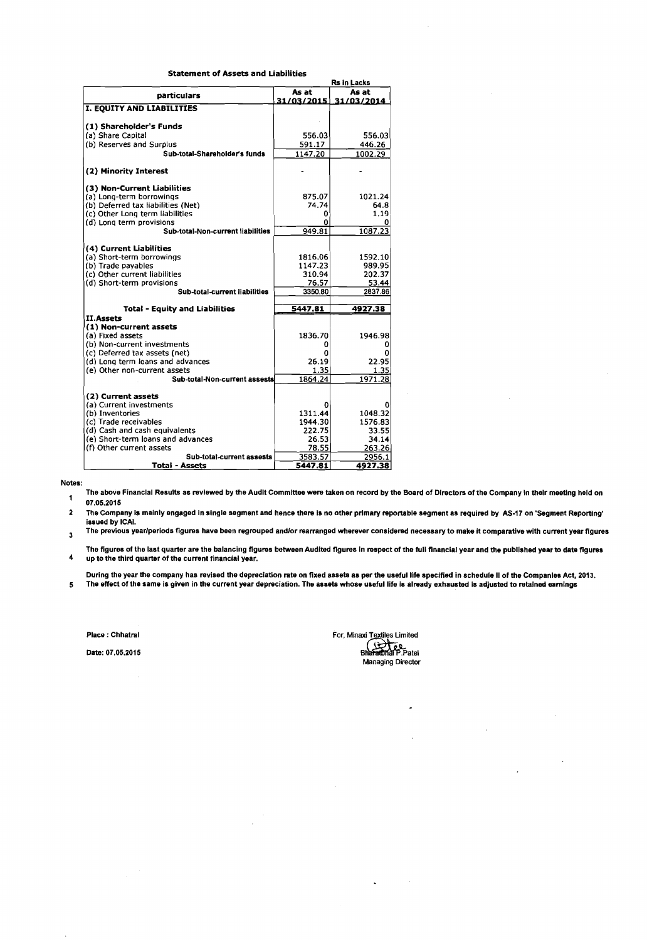| Statement of Assets and Liabilities |  |  |
|-------------------------------------|--|--|
|-------------------------------------|--|--|

|                                          |              | Rs in Lacks        |
|------------------------------------------|--------------|--------------------|
| particulars                              | As at        | As at              |
|                                          | 31/03/2015   | 31/03/2014         |
| I. EQUITY AND LIABILITIES                |              |                    |
|                                          |              |                    |
| (1) Shareholder's Funds                  |              |                    |
| (a) Share Capital                        | 556.03       | 556.03             |
| (b) Reserves and Surplus                 | 591.17       | 446.26             |
| Sub-total-Shareholder's funds            | 1147.20      | 1002.29            |
| (2) Minority Interest                    |              |                    |
| (3) Non-Current Liabilities              |              |                    |
| (a) Long-term borrowings                 | 875.07       | 1021.24            |
| (b) Deferred tax liabilities (Net)       | 74.74        | 64.8               |
| (c) Other Long term liabilities          | 0            | 1.19               |
| (d) Long term provisions                 | Ω            |                    |
| Sub-total-Non-current liabilities        | 949.81       | 1087.23            |
|                                          |              |                    |
| (4) Current Liabilities                  |              |                    |
| (a) Short-term borrowings                | 1816.06      | 1592.10            |
| (b) Trade payables                       | 1147.23      | 989.95             |
| (c) Other current liabilities            | 310.94       | 202.37             |
| (d) Short-term provisions                | 76.57        | 53.44              |
| Sub-total-current liabilities            | 3350.80      | 2837.86            |
| <b>Total - Equity and Liabilities</b>    | 5447.81      | 4927.38            |
| <b>II.Assets</b>                         |              |                    |
| (1) Non-current assets                   |              |                    |
| (a) Fixed assets                         | 1836.70      | 1946.98            |
| (b) Non-current investments              |              |                    |
| (c) Deferred tax assets (net)            |              |                    |
| (d) Long term loans and advances         | 26.19        | 22.95              |
| (e) Other non-current assets             | 1.35         | 1.35               |
| Sub-total-Non-current assests            | 1864.24      | 1971.28            |
|                                          |              |                    |
| (2) Current assets                       |              |                    |
| (a) Current investments                  | o<br>1311.44 | ٥                  |
| (b) Inventories<br>(c) Trade receivables | 1944.30      | 1048.32<br>1576.83 |
| (d) Cash and cash equivalents            | 222.75       | 33.55              |
| (e) Short-term loans and advances        | 26.53        | 34.14              |
| (f) Other current assets                 | 78.55        | 263.26             |
| Sub-total-current assests                | 3583.57      | 2956.1             |
|                                          |              |                    |
| <b>Total - Assets</b>                    | 5447.81      | 4927.38            |

Notes:

The above Financial Results as reviewed by the Audit Committee were taken on record by the Board of Dlrectors of the Company In thelr meetlng held on  $\mathbf 1$ 07.05.2015

2 The Company is mainly engaged in single segment and hence there is no other primary reportable segment as required by AS-I7 on 'Segment Reporting' issued by ICAI.

The previous yearlperiods figures have been regrouped andlor rearranged wherever considered necessary to make it comparative with current year figures  $\overline{\mathbf{3}}$ 

The figures of the last quarter are the balancing figures between Audited figures in respect of the full financial year and the published year to date figures **4** up to the third quarter of the current financial year.

During the year the company has revised the depreciation rate on fixed assets as per the useful life specified in schedule IIof the Companles Act, 2013. 5 The effect of the same is given in the current year depreciation. The assets whose useful life Is already exhausted is adjusted to retained earnings

Place : Chhatral

Date: 07.05.2015

For, Minaxi Textiles Limited<br>Bharatonar P. Patel<br>Managing Director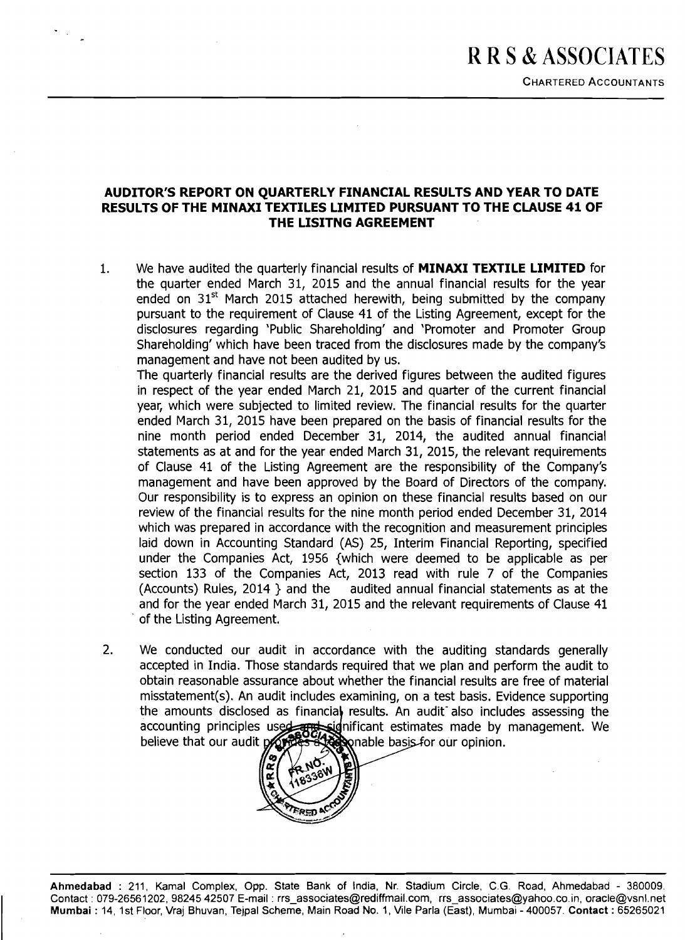## **AUDITOR'S REPORT ON QUARTERLY FINANCIAL RESULTS AND YEAR TO DATE RESULTS OF THE MINAXI TEXTILES LIMITED PURSUANT TO THE CLAUSE 41 OF THE LISITNG AGREEMENT**

We have audited the quarterly financial results of **MINAXI TEXTILE LIMITED** for  $1.$ the quarter ended March 31, 2015 and the annual financial results for the year ended on  $31<sup>st</sup>$  March 2015 attached herewith, being submitted by the company pursuant to the requirement of Clause 41 of the Listing Agreement, except for the disclosures regarding 'Public Shareholding' and 'Promoter and Promoter Group Shareholding' which have been traced from the disclosures made by the company's management and have not been audited by us.

The quarterly financial results are the derived figures between the audited figures in respect of the year ended March 21, 2015 and quarter of the current financial year, which were subjected to limited review. The financial results for the quarter ended March 31, 2015 have been prepared on the basis of financial results for the nine month period ended December 31, 2014, the audited annual financial statements as at and for the year ended March 31, 2015, the relevant requirements of Clause 41 of the Listing Agreement are the responsibility of the Company's management and have been approved by the Board of Directors of the company. Our responsibility is to express an opinion on these financial results based on our review of the financial results for the nine month period ended December 31, 2014 which was prepared in accordance with the recognition and measurement principles laid down in Accounting Standard (AS) 25, Interim Financial Reporting, specified under the Companies Act, 1956 {which were deemed to be applicable as per section 133 of the Companies Act, 2013 read with rule 7 of the Companies (Accounts) Rules, 2014 ) and the audited annual financial statements as at the and for the year ended March 31, 2015 and the relevant requirements of Clause 41 of the Listing Agreement.

2. We conducted our audit in accordance with the auditing standards generally accepted in India. Those standards required that we plan and perform the audit to obtain reasonable assurance about whether the financial results are free of material misstatement(s). An audit includes examining, on a test basis. Evidence supporting the amounts disclosed as financial results. An audit also includes assessing the accounting principles used and significant estimates made by management. We believe that our audit



**Ahmedabad** : 211, Kamal Complex, **Opp.** State Bank of India, Nr. Stadium Circle, C.G. Road, Ahmedabad - 380009. ~ Contact : 079-26561202, 98245 42507 E-mail : rrs~associates@rediffmail.com, rrs~associates@yahoo.co.in, oracle@vsnl.net **Mumbai** : 14, 1st Floor, Vraj Bhuvan, Te,jpal Scheme, Main Road No. 1,Vile Parla (East), Mumbai - 400057. **Contact** :65265021